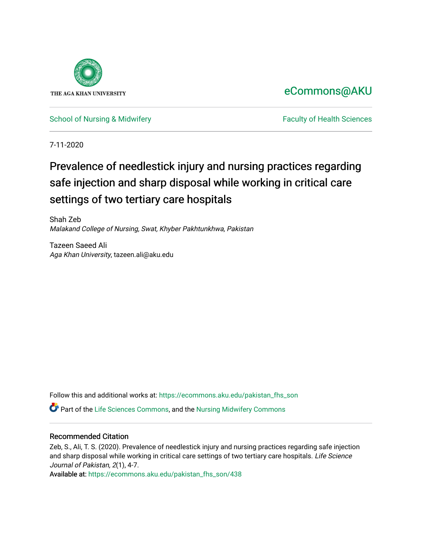

# [eCommons@AKU](https://ecommons.aku.edu/)

[School of Nursing & Midwifery](https://ecommons.aku.edu/pakistan_fhs_son) **Faculty of Health Sciences** Faculty of Health Sciences

7-11-2020

# Prevalence of needlestick injury and nursing practices regarding safe injection and sharp disposal while working in critical care settings of two tertiary care hospitals

Shah Zeb Malakand College of Nursing, Swat, Khyber Pakhtunkhwa, Pakistan

Tazeen Saeed Ali Aga Khan University, tazeen.ali@aku.edu

Follow this and additional works at: [https://ecommons.aku.edu/pakistan\\_fhs\\_son](https://ecommons.aku.edu/pakistan_fhs_son?utm_source=ecommons.aku.edu%2Fpakistan_fhs_son%2F438&utm_medium=PDF&utm_campaign=PDFCoverPages) 

Part of the [Life Sciences Commons,](http://network.bepress.com/hgg/discipline/1016?utm_source=ecommons.aku.edu%2Fpakistan_fhs_son%2F438&utm_medium=PDF&utm_campaign=PDFCoverPages) and the [Nursing Midwifery Commons](http://network.bepress.com/hgg/discipline/722?utm_source=ecommons.aku.edu%2Fpakistan_fhs_son%2F438&utm_medium=PDF&utm_campaign=PDFCoverPages)

# Recommended Citation

Zeb, S., Ali, T. S. (2020). Prevalence of needlestick injury and nursing practices regarding safe injection and sharp disposal while working in critical care settings of two tertiary care hospitals. Life Science Journal of Pakistan, 2(1), 4-7.

Available at: [https://ecommons.aku.edu/pakistan\\_fhs\\_son/438](https://ecommons.aku.edu/pakistan_fhs_son/438)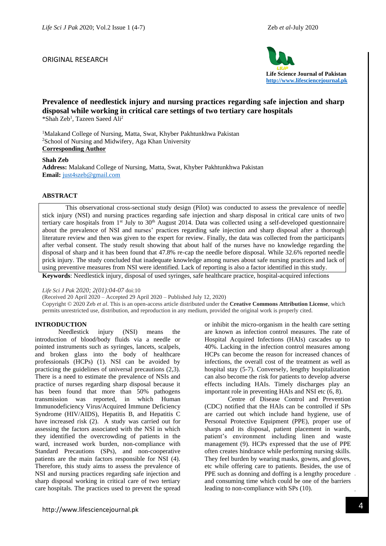# ORIGINAL RESEARCH



# **Prevalence of needlestick injury and nursing practices regarding safe injection and sharp disposal while working in critical care settings of two tertiary care hospitals**  \*Shah Zeb<sup>1</sup> , Tazeen Saeed Ali<sup>2</sup>

<sup>1</sup>Malakand College of Nursing, Matta, Swat, Khyber Pakhtunkhwa Pakistan <sup>2</sup>School of Nursing and Midwifery, Aga Khan University **Corresponding Author** 

### **Shah Zeb**

**Address:** Malakand College of Nursing, Matta, Swat, Khyber Pakhtunkhwa Pakistan **Email:** [just4szeb@gmail.com](mailto:just4szeb@gmail.com)

# **ABSTRACT**

This observational cross-sectional study design (Pilot) was conducted to assess the prevalence of needle stick injury (NSI) and nursing practices regarding safe injection and sharp disposal in critical care units of two tertiary care hospitals from 1st July to 30<sup>th</sup> August 2014. Data was collected using a self-developed questionnaire about the prevalence of NSI and nurses' practices regarding safe injection and sharp disposal after a thorough literature review and then was given to the expert for review. Finally, the data was collected from the participants after verbal consent. The study result showing that about half of the nurses have no knowledge regarding the disposal of sharp and it has been found that 47.8% re-cap the needle before disposal. While 32.6% reported needle prick injury. The study concluded that inadequate knowledge among nurses about safe nursing practices and lack of using preventive measures from NSI were identified. Lack of reporting is also a factor identified in this study.

**Keywords**: Needlestick injury, disposal of used syringes, safe healthcare practice, hospital-acquired infections

#### *Life Sci J Pak* 2*020; 2(01):04-07* doi:10

(Received 20 April 2020 – Accepted 29 April 2020 – Published July 12, 2020)

Copyright © 2020 Zeb *et al*. This is an open-access article distributed under the **Creative Commons Attribution License**, which permits unrestricted use, distribution, and reproduction in any medium, provided the original work is properly cited.

# **INTRODUCTION**

Needlestick injury (NSI) means the introduction of blood/body fluids via a needle or pointed instruments such as syringes, lancets, scalpels, and broken glass into the body of healthcare professionals (HCPs) (1). NSI can be avoided by practicing the guidelines of universal precautions (2,3). There is a need to estimate the prevalence of NSIs and practice of nurses regarding sharp disposal because it has been found that more than 50% pathogens transmission was reported, in which Human Immunodeficiency Virus/Acquired Immune Deficiency Syndrome (HIV/AIDS), Hepatitis B, and Hepatitis C have increased risk (2). A study was carried out for assessing the factors associated with the NSI in which they identified the overcrowding of patients in the ward, increased work burden, non-compliance with Standard Precautions (SPs), and non-cooperative patients are the main factors responsible for NSI (4). Therefore, this study aims to assess the prevalence of NSI and nursing practices regarding safe injection and sharp disposal working in critical care of two tertiary care hospitals. The practices used to prevent the spread

or inhibit the micro-organism in the health care setting are known as infection control measures. The rate of Hospital Acquired Infections (HAIs) cascades up to 40%. Lacking in the infection control measures among HCPs can become the reason for increased chances of infections, the overall cost of the treatment as well as hospital stay (5-7). Conversely, lengthy hospitalization can also become the risk for patients to develop adverse effects including HAIs. Timely discharges play an important role in preventing HAIs and NSI etc (6, 8).

and consuming time which could be one of the barriers<br>leading to non-compliance with SPs (10). Centre of Disease Control and Prevention (CDC) notified that the HAIs can be controlled if SPs are carried out which include hand hygiene, use of Personal Protective Equipment (PPE), proper use of sharps and its disposal, patient placement in wards, patient's environment including linen and waste management (9). HCPs expressed that the use of PPE often creates hindrance while performing nursing skills. They feel burden by wearing masks, gowns, and gloves, etc while offering care to patients. Besides, the use of PPE such as donning and doffing is a lengthy procedure leading to non-compliance with SPs (10).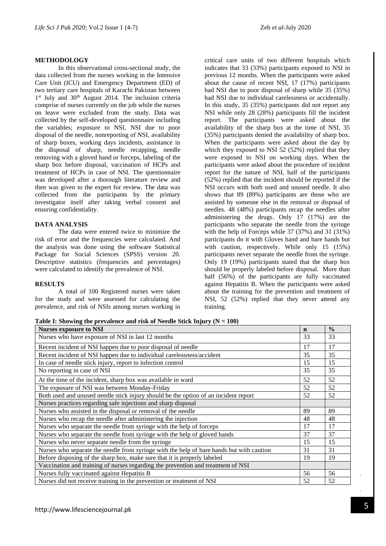#### **METHODOLOGY**

In this observational cross-sectional study, the data collected from the nurses working in the Intensive Care Unit (ICU) and Emergency Department (ED) of two tertiary care hospitals of Karachi Pakistan between 1<sup>st</sup> July and 30<sup>th</sup> August 2014. The inclusion criteria comprise of nurses currently on the job while the nurses on leave were excluded from the study. Data was collected by the self-developed questionnaire including the variables; exposure to NSI, NSI due to poor disposal of the needle, nonreporting of NSI, availability of sharp boxes, working days incidents, assistance in the disposal of sharp, needle recapping, needle removing with a gloved hand or forceps, labeling of the sharp box before disposal, vaccination of HCPs and treatment of HCPs in case of NSI. The questionnaire was developed after a thorough literature review and then was given to the expert for review. The data was collected from the participants by the primary investigator itself after taking verbal consent and ensuring confidentiality.

# **DATA ANALYSIS**

The data were entered twice to minimize the risk of error and the frequencies were calculated. And the analysis was done using the software Statistical Package for Social Sciences (SPSS) version 20. Descriptive statistics (frequencies and percentages) were calculated to identify the prevalence of NSI.

### **RESULTS**

A total of 100 Registered nurses were taken for the study and were assessed for calculating the prevalence, and risk of NSIs among nurses working in

critical care units of two different hospitals which indicates that 33 (33%) participants exposed to NSI in previous 12 months. When the participants were asked about the cause of recent NSI, 17 (17%) participants had NSI due to poor disposal of sharp while 35 (35%) had NSI due to individual carelessness or accidentally. In this study, 35 (35%) participants did not report any NSI while only 28 (28%) participants fill the incident report. The participants were asked about the availability of the sharp box at the time of NSI, 35 (35%) participants denied the availability of sharp box. When the participants were asked about the day by which they exposed to NSI 52 (52%) replied that they were exposed to NSI on working days. When the participants were asked about the procedure of incident report for the nature of NSI, half of the participants (52%) replied that the incident should be reported if the NSI occurs with both used and unused needle. It also shows that 89 (89%) participants are those who are assisted by someone else in the removal or disposal of needles. 48 (48%) participants recap the needles after administering the drugs. Only 17 (17%) are the participants who separate the needle from the syringe with the help of Forceps while 37 (37%) and 31 (31%) participants do it with Gloves hand and bare hands but with caution, respectively. While only 15 (15%) participants never separate the needle from the syringe. Only 19 (19%) participants stated that the sharp box should be properly labeled before disposal. More than half (56%) of the participants are fully vaccinated against Hepatitis B. When the participants were asked about the training for the prevention and treatment of NSI, 52 (52%) replied that they never attend any training.

**Table I: Showing the prevalence and risk of Needle Stick Injury (N = 100)**

| <b>Nurses exposure to NSI</b>                                                            | $\mathbf n$ | $\frac{0}{0}$ |
|------------------------------------------------------------------------------------------|-------------|---------------|
| Nurses who have exposure of NSI in last 12 months                                        | 33          | 33            |
| Recent incident of NSI happen due to poor disposal of needle                             | 17          | 17            |
| Recent incident of NSI happen due to individual carelessness/accident                    | 35          | 35            |
| In case of needle stick injury, report to infection control                              | 15          | 15            |
| No reporting in case of NSI                                                              | 35          | 35            |
| At the time of the incident, sharp box was available in ward                             | 52          | 52            |
| The exposure of NSI was between Monday-Friday                                            | 52          | 52            |
| Both used and unused needle stick injury should be the option of an incident report      | 52          | 52            |
| Nurses practices regarding safe injections and sharp disposal                            |             |               |
| Nurses who assisted in the disposal or removal of the needle                             | 89          | 89            |
| Nurses who recap the needle after administering the injection                            | 48          | 48            |
| Nurses who separate the needle from syringe with the help of forceps                     | 17          | 17            |
| Nurses who separate the needle from syringe with the help of gloved hands                | 37          | 37            |
| Nurses who never separate needle from the syringe                                        | 15          | 15            |
| Nurses who separate the needle from syringe with the help of bare hands but with caution | 31          | 31            |
| Before disposing of the sharp box, make sure that it is properly labeled                 | 19          | 19            |
| Vaccination and training of nurses regarding the prevention and treatment of NSI         |             |               |
| Nurses fully vaccinated against Hepatitis B                                              | 56          | 56            |
| Nurses did not receive training in the prevention or treatment of NSI                    | 52          | 52            |

 $\frac{1}{2}$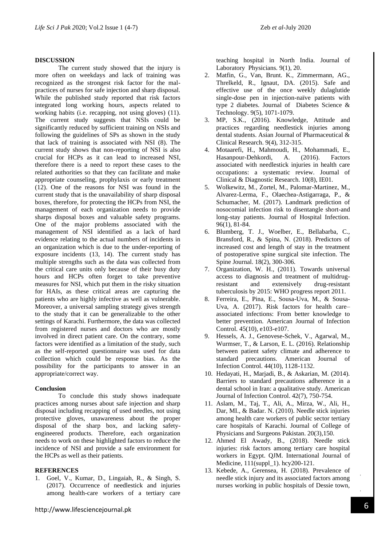#### **DISCUSSION**

The current study showed that the injury is more often on weekdays and lack of training was recognized as the strongest risk factor for the malpractices of nurses for safe injection and sharp disposal. While the published study reported that risk factors integrated long working hours, aspects related to working habits (i.e. recapping, not using gloves) (11). The current study suggests that NSIs could be significantly reduced by sufficient training on NSIs and following the guidelines of SPs as shown in the study that lack of training is associated with NSI (8). The current study shows that non-reporting of NSI is also crucial for HCPs as it can lead to increased NSI, therefore there is a need to report these cases to the related authorities so that they can facilitate and make appropriate counseling, prophylaxis or early treatment (12). One of the reasons for NSI was found in the current study that is the unavailability of sharp disposal boxes, therefore, for protecting the HCPs from NSI, the management of each organization needs to provide sharps disposal boxes and valuable safety programs. One of the major problems associated with the management of NSI identified as a lack of hard evidence relating to the actual numbers of incidents in an organization which is due to the under-reporting of exposure incidents (13, 14). The current study has multiple strengths such as the data was collected from the critical care units only because of their busy duty hours and HCPs often forget to take preventive measures for NSI, which put them in the risky situation for HAIs, as these critical areas are capturing the patients who are highly infective as well as vulnerable. Moreover, a universal sampling strategy gives strength to the study that it can be generalizable to the other settings of Karachi. Furthermore, the data was collected from registered nurses and doctors who are mostly involved in direct patient care. On the contrary, some factors were identified as a limitation of the study, such as the self-reported questionnaire was used for data collection which could be response bias. As the possibility for the participants to answer in an appropriate/correct way.

#### **Conclusion**

To conclude this study shows inadequate practices among nurses about safe injection and sharp disposal including recapping of used needles, not using protective gloves, unawareness about the proper disposal of the sharp box, and lacking safetyengineered products. Therefore, each organization needs to work on these highlighted factors to reduce the incidence of NSI and provide a safe environment for the HCPs as well as their patients.

#### **REFERENCES**

1. Goel, V., Kumar, D., Lingaiah, R., & Singh, S. (2017). Occurrence of needlestick and injuries among health-care workers of a tertiary care

http://www.lifesciencejournal.pk

teaching hospital in North India. Journal of Laboratory Physicians*.* 9(1), 20.

- 2. Matfin, G., Van, Brunt. K., Zimmermann, AG., Threlkeld, R., Ignaut, DA. (2015). Safe and effective use of the once weekly dulaglutide single-dose pen in injection-naïve patients with type 2 diabetes. Journal of Diabetes Science & Technology. 9(5), 1071-1079.
- 3. MP, S.K., (2016). Knowledge, Attitude and practices regarding needlestick injuries among dental students. Asian Journal of Pharmaceutical & Clinical Research. 9(4), 312-315.
- 4. Motaarefi, H., Mahmoudi, H., Mohammadi, E., Hasanpour-Dehkordi, A. (2016). Factors associated with needlestick injuries in health care occupations: a systematic review. Journal of Clinical & Diagnostic Research. 10(8), IE01.
- 5. Wolkewitz, M., Zortel, M., Palomar-Martinez, M., Alvarez-Lerma, F., Olaechea-Astigarraga, P., & Schumacher, M. (2017). Landmark prediction of nosocomial infection risk to disentangle short-and long-stay patients. Journal of Hospital Infection. 96(1), 81-84.
- 6. Blumberg, T. J., Woelber, E., Bellabarba, C., Bransford, R., & Spina, N. (2018). Predictors of increased cost and length of stay in the treatment of postoperative spine surgical site infection. The Spine Journal. 18(2), 300-306.
- 7. Organization, W. H., (2011). Towards universal access to diagnosis and treatment of multidrugresistant and extensively drug-resistant tuberculosis by 2015: WHO progress report 2011.
- 8. Ferreira, E., Pina, E., Sousa-Uva, M., & Sousa-Uva, A. (2017). Risk factors for health care– associated infections: From better knowledge to better prevention. American Journal of Infection Control. 45(10), e103-e107.
- 9. Hessels, A. J., Genovese-Schek, V., Agarwal, M., Wurmser, T., & Larson, E. L. (2016). Relationship between patient safety climate and adherence to standard precautions. American Journal of Infection Control. 44(10), 1128-1132.
- 10. Hedayati, H., Marjadi, B., & Askarian, M. (2014). Barriers to standard precautions adherence in a dental school in Iran: a qualitative study. American Journal of Infection Control. 42(7), 750-754.
- 11. Aslam, M., Taj, T., Ali, A., Mirza, W., Ali, H., Dar, MI., & Badar. N. (2010). Needle stick injuries among health care workers of public sector tertiary care hospitals of Karachi. Journal of College of Physicians and Surgeons Pakistan. 20(3),150.
- 12. Ahmed El Awady, B., (2018). Needle stick injuries: risk factors among tertiary care hospital workers in Egypt. QJM. International Journal of Medicine, 111(suppl\_1). hcy200-121.
- 13. Kebede, A., Gerensea, H. (2018). Prevalence of needle stick injury and its associated factors among nurses working in public hospitals of Dessie town,

 $\frac{1}{2}$